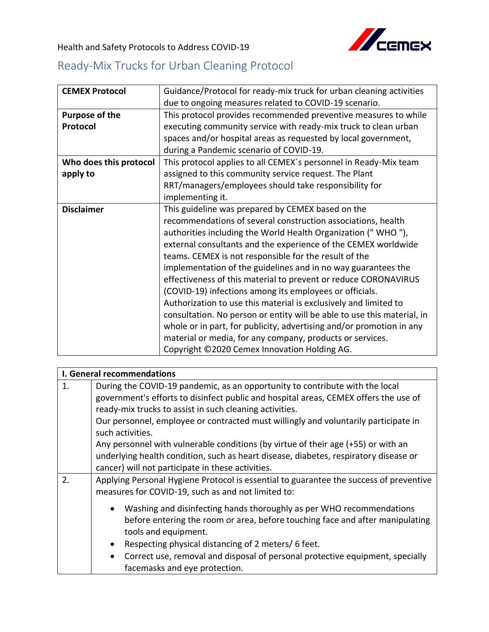Health and Safety Protocols to Address COVID-19



## Ready-Mix Trucks for Urban Cleaning Protocol

| <b>CEMEX Protocol</b>  | Guidance/Protocol for ready-mix truck for urban cleaning activities     |
|------------------------|-------------------------------------------------------------------------|
|                        | due to ongoing measures related to COVID-19 scenario.                   |
| <b>Purpose of the</b>  | This protocol provides recommended preventive measures to while         |
| Protocol               | executing community service with ready-mix truck to clean urban         |
|                        | spaces and/or hospital areas as requested by local government,          |
|                        | during a Pandemic scenario of COVID-19.                                 |
| Who does this protocol | This protocol applies to all CEMEX's personnel in Ready-Mix team        |
| apply to               | assigned to this community service request. The Plant                   |
|                        | RRT/managers/employees should take responsibility for                   |
|                        | implementing it.                                                        |
| <b>Disclaimer</b>      | This guideline was prepared by CEMEX based on the                       |
|                        | recommendations of several construction associations, health            |
|                        | authorities including the World Health Organization ("WHO"),            |
|                        | external consultants and the experience of the CEMEX worldwide          |
|                        | teams. CEMEX is not responsible for the result of the                   |
|                        | implementation of the guidelines and in no way guarantees the           |
|                        | effectiveness of this material to prevent or reduce CORONAVIRUS         |
|                        | (COVID-19) infections among its employees or officials.                 |
|                        | Authorization to use this material is exclusively and limited to        |
|                        | consultation. No person or entity will be able to use this material, in |
|                        | whole or in part, for publicity, advertising and/or promotion in any    |
|                        | material or media, for any company, products or services.               |
|                        | Copyright ©2020 Cemex Innovation Holding AG.                            |

|    | I. General recommendations                                                                 |  |
|----|--------------------------------------------------------------------------------------------|--|
| 1. | During the COVID-19 pandemic, as an opportunity to contribute with the local               |  |
|    | government's efforts to disinfect public and hospital areas, CEMEX offers the use of       |  |
|    | ready-mix trucks to assist in such cleaning activities.                                    |  |
|    | Our personnel, employee or contracted must willingly and voluntarily participate in        |  |
|    | such activities.                                                                           |  |
|    | Any personnel with vulnerable conditions (by virtue of their age (+55) or with an          |  |
|    | underlying health condition, such as heart disease, diabetes, respiratory disease or       |  |
|    | cancer) will not participate in these activities.                                          |  |
| 2. | Applying Personal Hygiene Protocol is essential to guarantee the success of preventive     |  |
|    | measures for COVID-19, such as and not limited to:                                         |  |
|    | Washing and disinfecting hands thoroughly as per WHO recommendations<br>$\bullet$          |  |
|    | before entering the room or area, before touching face and after manipulating              |  |
|    | tools and equipment.                                                                       |  |
|    | Respecting physical distancing of 2 meters/6 feet.<br>$\bullet$                            |  |
|    | Correct use, removal and disposal of personal protective equipment, specially<br>$\bullet$ |  |
|    | facemasks and eye protection.                                                              |  |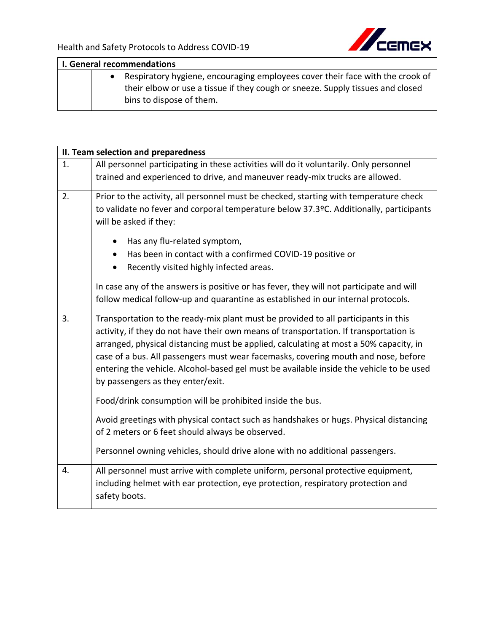

| I. General recommendations |  |                                                                                                                                                                                             |
|----------------------------|--|---------------------------------------------------------------------------------------------------------------------------------------------------------------------------------------------|
|                            |  | Respiratory hygiene, encouraging employees cover their face with the crook of<br>their elbow or use a tissue if they cough or sneeze. Supply tissues and closed<br>bins to dispose of them. |

|    | II. Team selection and preparedness                                                     |
|----|-----------------------------------------------------------------------------------------|
| 1. | All personnel participating in these activities will do it voluntarily. Only personnel  |
|    | trained and experienced to drive, and maneuver ready-mix trucks are allowed.            |
| 2. | Prior to the activity, all personnel must be checked, starting with temperature check   |
|    | to validate no fever and corporal temperature below 37.3ºC. Additionally, participants  |
|    | will be asked if they:                                                                  |
|    | Has any flu-related symptom,                                                            |
|    | Has been in contact with a confirmed COVID-19 positive or                               |
|    | Recently visited highly infected areas.                                                 |
|    | In case any of the answers is positive or has fever, they will not participate and will |
|    | follow medical follow-up and quarantine as established in our internal protocols.       |
| 3. | Transportation to the ready-mix plant must be provided to all participants in this      |
|    | activity, if they do not have their own means of transportation. If transportation is   |
|    | arranged, physical distancing must be applied, calculating at most a 50% capacity, in   |
|    | case of a bus. All passengers must wear facemasks, covering mouth and nose, before      |
|    | entering the vehicle. Alcohol-based gel must be available inside the vehicle to be used |
|    | by passengers as they enter/exit.                                                       |
|    | Food/drink consumption will be prohibited inside the bus.                               |
|    | Avoid greetings with physical contact such as handshakes or hugs. Physical distancing   |
|    | of 2 meters or 6 feet should always be observed.                                        |
|    | Personnel owning vehicles, should drive alone with no additional passengers.            |
| 4. | All personnel must arrive with complete uniform, personal protective equipment,         |
|    | including helmet with ear protection, eye protection, respiratory protection and        |
|    | safety boots.                                                                           |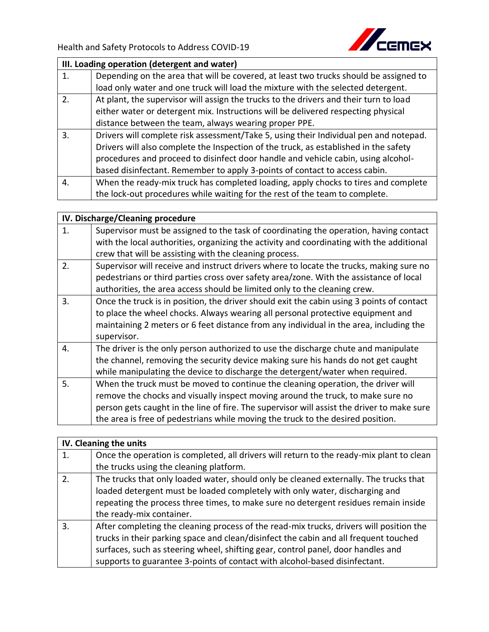

| III. Loading operation (detergent and water) |                                                                                       |
|----------------------------------------------|---------------------------------------------------------------------------------------|
| 1.                                           | Depending on the area that will be covered, at least two trucks should be assigned to |
|                                              | load only water and one truck will load the mixture with the selected detergent.      |
| 2.                                           | At plant, the supervisor will assign the trucks to the drivers and their turn to load |
|                                              | either water or detergent mix. Instructions will be delivered respecting physical     |
|                                              | distance between the team, always wearing proper PPE.                                 |
| 3.                                           | Drivers will complete risk assessment/Take 5, using their Individual pen and notepad. |
|                                              | Drivers will also complete the Inspection of the truck, as established in the safety  |
|                                              | procedures and proceed to disinfect door handle and vehicle cabin, using alcohol-     |
|                                              | based disinfectant. Remember to apply 3-points of contact to access cabin.            |
| 4.                                           | When the ready-mix truck has completed loading, apply chocks to tires and complete    |
|                                              | the lock-out procedures while waiting for the rest of the team to complete.           |

| IV. Discharge/Cleaning procedure |                                                                                                                                                                                                                                                                                                                                                      |
|----------------------------------|------------------------------------------------------------------------------------------------------------------------------------------------------------------------------------------------------------------------------------------------------------------------------------------------------------------------------------------------------|
| 1.                               | Supervisor must be assigned to the task of coordinating the operation, having contact<br>with the local authorities, organizing the activity and coordinating with the additional<br>crew that will be assisting with the cleaning process.                                                                                                          |
| 2.                               | Supervisor will receive and instruct drivers where to locate the trucks, making sure no<br>pedestrians or third parties cross over safety area/zone. With the assistance of local<br>authorities, the area access should be limited only to the cleaning crew.                                                                                       |
| 3.                               | Once the truck is in position, the driver should exit the cabin using 3 points of contact<br>to place the wheel chocks. Always wearing all personal protective equipment and<br>maintaining 2 meters or 6 feet distance from any individual in the area, including the<br>supervisor.                                                                |
| 4.                               | The driver is the only person authorized to use the discharge chute and manipulate<br>the channel, removing the security device making sure his hands do not get caught<br>while manipulating the device to discharge the detergent/water when required.                                                                                             |
| 5.                               | When the truck must be moved to continue the cleaning operation, the driver will<br>remove the chocks and visually inspect moving around the truck, to make sure no<br>person gets caught in the line of fire. The supervisor will assist the driver to make sure<br>the area is free of pedestrians while moving the truck to the desired position. |

| IV. Cleaning the units |                                                                                          |
|------------------------|------------------------------------------------------------------------------------------|
| 1.                     | Once the operation is completed, all drivers will return to the ready-mix plant to clean |
|                        | the trucks using the cleaning platform.                                                  |
| 2.                     | The trucks that only loaded water, should only be cleaned externally. The trucks that    |
|                        | loaded detergent must be loaded completely with only water, discharging and              |
|                        | repeating the process three times, to make sure no detergent residues remain inside      |
|                        | the ready-mix container.                                                                 |
| 3.                     | After completing the cleaning process of the read-mix trucks, drivers will position the  |
|                        | trucks in their parking space and clean/disinfect the cabin and all frequent touched     |
|                        | surfaces, such as steering wheel, shifting gear, control panel, door handles and         |
|                        | supports to guarantee 3-points of contact with alcohol-based disinfectant.               |